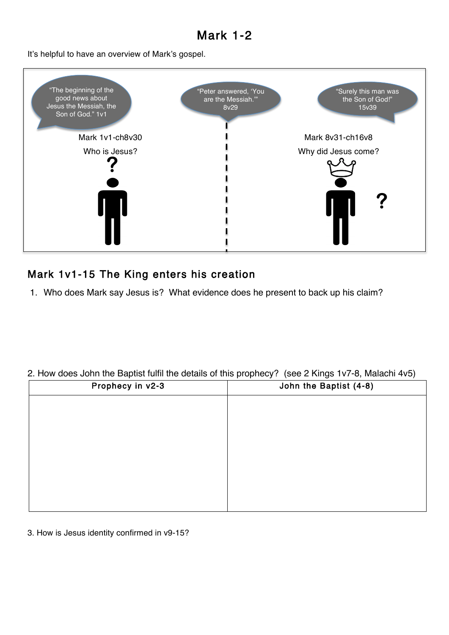# Mark 1-2

It's helpful to have an overview of Mark's gospel.



## Mark 1v1-15 The King enters his creation

1. Who does Mark say Jesus is? What evidence does he present to back up his claim?

#### 2. How does John the Baptist fulfil the details of this prophecy? (see 2 Kings 1v7-8, Malachi 4v5)

| Prophecy in v2-3 | John the Baptist (4-8) |
|------------------|------------------------|
|                  |                        |
|                  |                        |
|                  |                        |
|                  |                        |
|                  |                        |
|                  |                        |
|                  |                        |
|                  |                        |

3. How is Jesus identity confirmed in v9-15?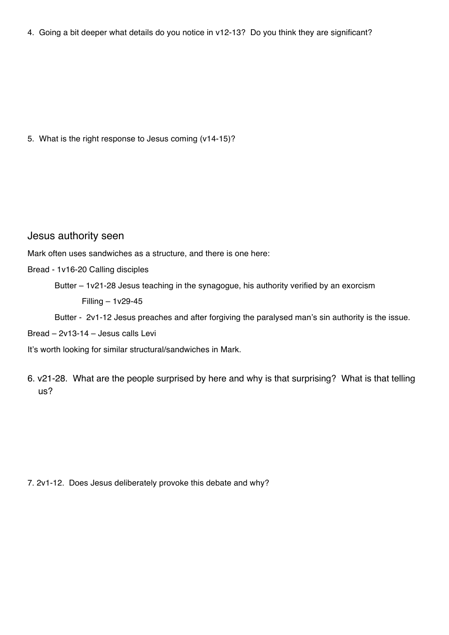4. Going a bit deeper what details do you notice in v12-13? Do you think they are significant?

5. What is the right response to Jesus coming (v14-15)?

#### Jesus authority seen

Mark often uses sandwiches as a structure, and there is one here:

- Bread 1v16-20 Calling disciples
	- Butter 1v21-28 Jesus teaching in the synagogue, his authority verified by an exorcism Filling – 1v29-45

Butter - 2v1-12 Jesus preaches and after forgiving the paralysed man's sin authority is the issue.

Bread – 2v13-14 – Jesus calls Levi

It's worth looking for similar structural/sandwiches in Mark.

6. v21-28. What are the people surprised by here and why is that surprising? What is that telling us?

7. 2v1-12. Does Jesus deliberately provoke this debate and why?